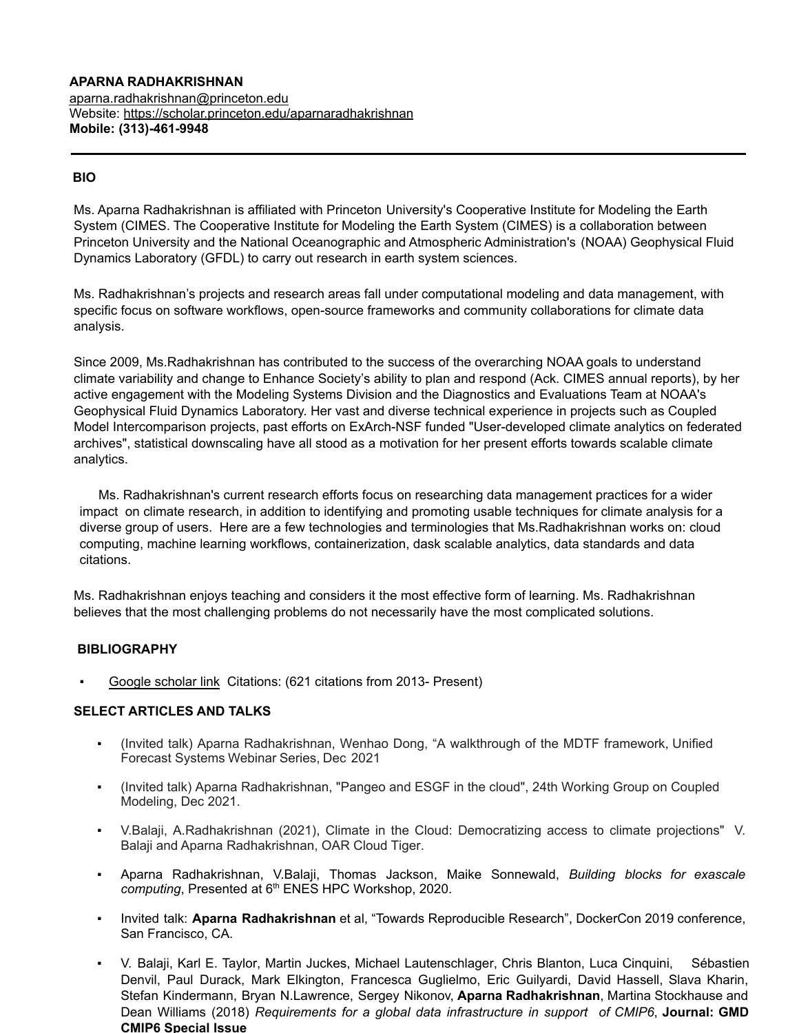#### **APARNA RADHAKRISHNAN** [aparna.radhakrishnan@princeton.edu](mailto:aparna.radhakrishnan@princeton.edu) Website:<https://scholar.princeton.edu/aparnaradhakrishnan> **Mobile: (313)-461-9948**

## **BIO**

Ms. Aparna Radhakrishnan is affiliated with Princeton University's [Cooperative Institute for Modeling the](https://cimes.princeton.edu/) Earth [System \(CIMES.](https://cimes.princeton.edu/) The Cooperative Institute for Modeling the Earth System (CIMES) is a collaboration between [Princeton University](http://www.princeton.edu/) and the National Oceanographic [and Atmospheric Administration's](http://www.noaa.gov/) (NOAA) [Geophysical](http://www.gfdl.noaa.gov/) Fluid [Dynamics Laboratory](http://www.gfdl.noaa.gov/) (GFDL) to carry out research in earth system sciences.

Ms. Radhakrishnan's projects and research areas fall under computational modeling and data management, with specific focus on software workflows, open-source frameworks and community collaborations for climate data analysis.

Since 2009, Ms.Radhakrishnan has contributed to the success of the overarching NOAA goals to understand climate variability and change to Enhance Society's ability to plan and respond (Ack. CIMES annual reports), by her active engagement with the Modeling Systems Division and the Diagnostics and Evaluations Team at NOAA's Geophysical Fluid Dynamics Laboratory. Her vast and diverse technical experience in projects such as Coupled Model Intercomparison projects, past efforts on ExArch-NSF funded "User-developed climate analytics on federated archives", statistical downscaling have all stood as a motivation for her present efforts towards scalable climate analytics.

Ms. Radhakrishnan's current research efforts focus on researching data management practices for a wider impact on climate research, in addition to identifying and promoting usable techniques for climate analysis for a diverse group of users. Here are a few technologies and terminologies that Ms.Radhakrishnan works on: cloud computing, machine learning workflows, containerization, dask scalable analytics, data standards and data citations.

Ms. Radhakrishnan enjoys teaching and considers it the most effective form of learning. Ms. Radhakrishnan believes that the most challenging problems do not necessarily have the most complicated solutions.

### **BIBLIOGRAPHY**

Google scholar link Citations: (621 citations from 2013- Present)

### **SELECT ARTICLES AND TALKS**

- (Invited talk) Aparna Radhakrishnan, Wenhao Dong, "A walkthrough of the MDTF framework, Unified Forecast Systems Webinar Series, Dec 2021
- (Invited talk) Aparna Radhakrishnan, "Pangeo and ESGF in the cloud", 24th Working Group on Coupled Modeling, Dec 2021.
- V.Balaji, A.Radhakrishnan (2021), Climate in the Cloud: Democratizing access to climate projections" V. Balaji and Aparna Radhakrishnan, OAR Cloud Tiger.
- Aparna Radhakrishnan, V.Balaji, Thomas Jackson, Maike Sonnewald, *Building blocks for exascale* computing, Presented at 6<sup>th</sup> ENES HPC Workshop, 2020.
- Invited talk: **Aparna Radhakrishnan** et al, "Towards Reproducible Research", DockerCon 2019 conference, San Francisco, CA.
- V. Balaji, Karl E. Taylor, Martin Juckes, Michael Lautenschlager, Chris Blanton, Luca Cinquini, Sébastien Denvil, Paul Durack, Mark Elkington, Francesca Guglielmo, Eric Guilyardi, David Hassell, Slava Kharin, Stefan Kindermann, Bryan N.Lawrence, Sergey Nikonov, **Aparna Radhakrishnan**, Martina Stockhause and Dean Williams (2018) *Requirements for a global data infrastructure in support of CMIP6*, **Journal: GMD CMIP6 Special Issue**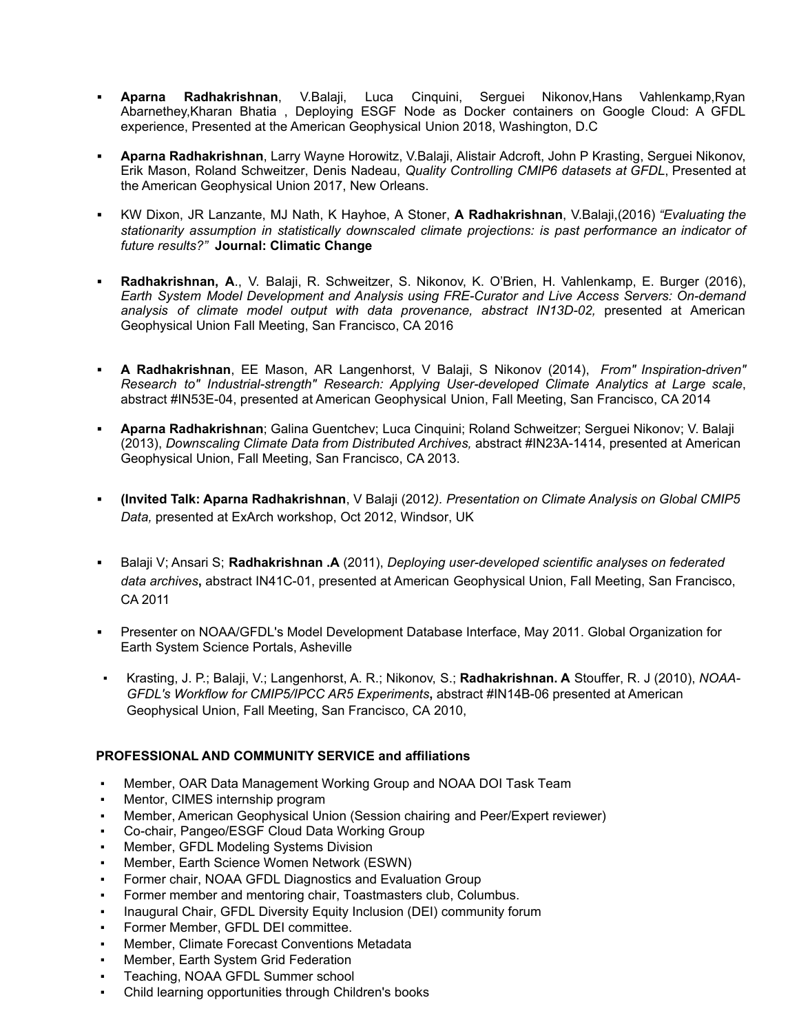- **Aparna Radhakrishnan**, V.Balaji, Luca Cinquini, Serguei Nikonov,Hans Vahlenkamp,Ryan Abarnethey,Kharan Bhatia , Deploying ESGF Node as Docker containers on Google Cloud: A GFDL experience, Presented at the American Geophysical Union 2018, Washington, D.C
- **▪ Aparna Radhakrishnan**, Larry Wayne Horowitz, V.Balaji, Alistair Adcroft, John P Krasting, Serguei Nikonov, Erik Mason, Roland Schweitzer, Denis Nadeau, *Quality Controlling CMIP6 datasets at GFDL*, Presented at the American Geophysical Union 2017, New Orleans.
- **▪** KW Dixon, JR Lanzante, MJ Nath, K Hayhoe, A Stoner, **A Radhakrishnan**, V.Balaji,(2016) *"Evaluating the stationarity assumption in statistically downscaled climate projections: is past performance an indicator of future results?"* **Journal: Climatic Change**
- **▪ Radhakrishnan, A**., V. Balaji, R. Schweitzer, S. Nikonov, K. O'Brien, H. Vahlenkamp, E. Burger (2016), *Earth System Model Development and Analysis using FRE-Curator and Live Access Servers: On-demand analysis of climate model output with data provenance, abstract IN13D-02,* presented at American Geophysical Union Fall Meeting, San Francisco, CA 2016
- **▪ A Radhakrishnan**, EE Mason, AR Langenhorst, V Balaji, S Nikonov (2014), *From" Inspiration-driven" Research to" Industrial-strength" Research: Applying User-developed Climate Analytics at Large scale*, abstract #IN53E-04, presented at American Geophysical Union, Fall Meeting, San Francisco, CA 2014
- **Aparna Radhakrishnan**; Galina Guentchev; Luca Cinquini; Roland Schweitzer; Serguei Nikonov; V. Balaji (2013), *Downscaling Climate Data from Distributed Archives,* abstract #IN23A-1414, presented at American Geophysical Union, Fall Meeting, San Francisco, CA 2013.
- **▪ (Invited Talk: Aparna Radhakrishnan**, V Balaji (2012*). Presentation on Climate Analysis on Global CMIP5 Data,* presented at ExArch workshop, Oct 2012, Windsor, UK
- **▪** Balaji V; Ansari S; **Radhakrishnan .A** (2011), *Deploying user-developed scientific analyses on federated data archives***,** abstract IN41C-01, presented at American Geophysical Union, Fall Meeting, San Francisco, CA 2011
- **▪** Presenter on NOAA/GFDL's Model Development Database Interface, May 2011. Global Organization for Earth System Science Portals, Asheville
- Krasting, J. P.; Balaji, V.; Langenhorst, A. R.; Nikonov, S.; **Radhakrishnan. A** Stouffer, R. J (2010), *NOAA-GFDL's Workflow for CMIP5/IPCC AR5 Experiments***,** abstract #IN14B-06 presented at American Geophysical Union, Fall Meeting, San Francisco, CA 2010,

#### **PROFESSIONAL AND COMMUNITY SERVICE and affiliations**

- Member, OAR Data Management Working Group and NOAA DOI Task Team
- Mentor, CIMES internship program
- Member, American Geophysical Union (Session chairing and Peer/Expert reviewer)
- Co-chair, Pangeo/ESGF Cloud Data Working Group
- Member, GFDL Modeling Systems Division
- Member, Earth Science Women Network (ESWN)
- Former chair, NOAA GFDL Diagnostics and Evaluation Group
- Former member and mentoring chair, Toastmasters club, Columbus.
- Inaugural Chair, GFDL Diversity Equity Inclusion (DEI) community forum
- Former Member, GFDL DEI committee.
- Member, Climate Forecast Conventions Metadata
- Member, Earth System Grid Federation
- Teaching, NOAA GFDL Summer school
- Child learning opportunities through Children's books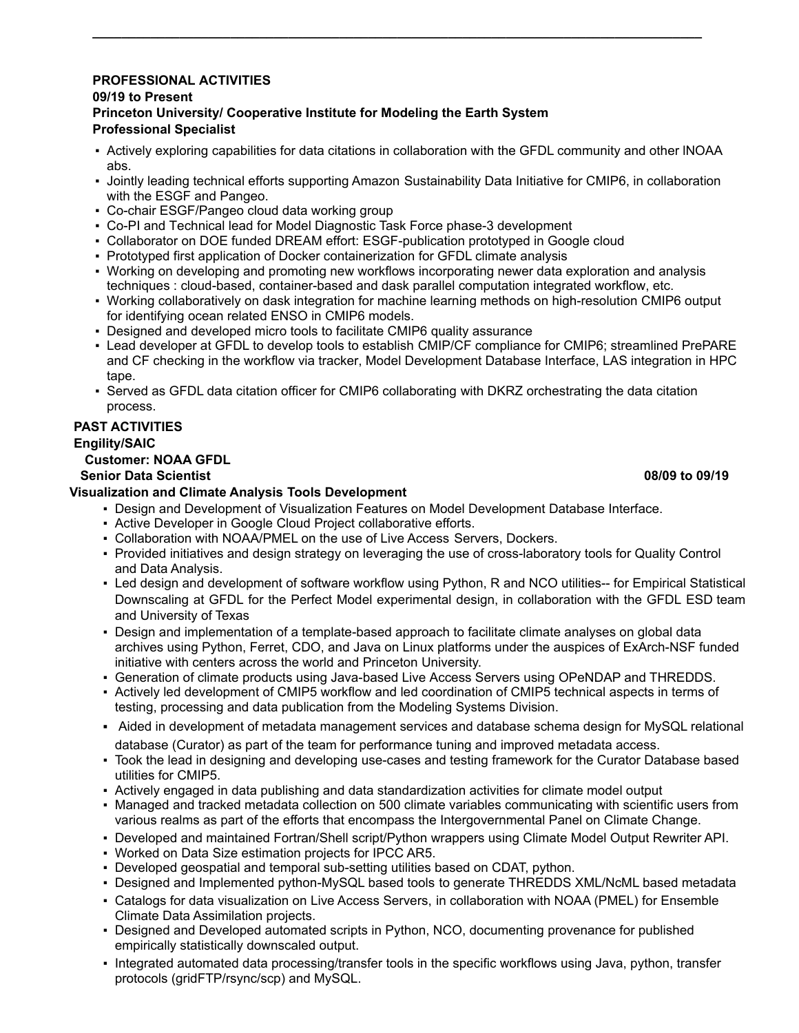## **PROFESSIONAL ACTIVITIES**

#### **09/19 to Present**

## **Princeton University/ Cooperative Institute for Modeling the Earth System Professional Specialist**

▪ Actively exploring capabilities for data citations in collaboration with the GFDL community and other lNOAA abs.

**\_\_\_\_\_\_\_\_\_\_\_\_\_\_\_\_\_\_\_\_\_\_\_\_\_\_\_\_\_\_\_\_\_\_\_\_\_\_\_\_\_\_\_\_\_\_\_\_\_\_\_\_\_\_\_\_\_\_\_\_\_\_\_\_\_\_\_\_\_\_\_\_\_\_\_\_\_\_\_\_\_\_\_\_**

- Jointly leading technical efforts supporting Amazon Sustainability Data Initiative for CMIP6, in collaboration with the ESGF and Pangeo.
- Co-chair ESGF/Pangeo cloud data working group
- Co-PI and Technical lead for Model Diagnostic Task Force phase-3 development
- Collaborator on DOE funded DREAM effort: ESGF-publication prototyped in Google cloud
- Prototyped first application of Docker containerization for GFDL climate analysis
- Working on developing and promoting new workflows incorporating newer data exploration and analysis techniques : cloud-based, container-based and dask parallel computation integrated workflow, etc.
- Working collaboratively on dask integration for machine learning methods on high-resolution CMIP6 output for identifying ocean related ENSO in CMIP6 models.
- Designed and developed micro tools to facilitate CMIP6 quality assurance
- Lead developer at GFDL to develop tools to establish CMIP/CF compliance for CMIP6; streamlined PrePARE and CF checking in the workflow via tracker, Model Development Database Interface, LAS integration in HPC tape.
- Served as GFDL data citation officer for CMIP6 collaborating with DKRZ orchestrating the data citation process.

# **PAST ACTIVITIES Engility/SAIC**

# **Customer: NOAA GFDL**

# **Senior Data Scientist 08/09 to 09/19**

# **Visualization and Climate Analysis Tools Development**

- Design and Development of Visualization Features on Model Development Database Interface.
- Active Developer in Google Cloud Project collaborative efforts.
- Collaboration with NOAA/PMEL on the use of Live Access Servers, Dockers.
- Provided initiatives and design strategy on leveraging the use of cross-laboratory tools for Quality Control and Data Analysis.
- Led design and development of software workflow using Python, R and NCO utilities-- for Empirical Statistical Downscaling at GFDL for the Perfect Model experimental design, in collaboration with the GFDL ESD team and University of Texas
- Design and implementation of a template-based approach to facilitate climate analyses on global data archives using Python, Ferret, CDO, and Java on Linux platforms under the auspices of ExArch-NSF funded initiative with centers across the world and Princeton University.
- Generation of climate products using Java-based Live Access Servers using OPeNDAP and THREDDS.
- Actively led development of CMIP5 workflow and led coordination of CMIP5 technical aspects in terms of testing, processing and data publication from the Modeling Systems Division.
- Aided in development of metadata management services and database schema design for MySQL relational
- database (Curator) as part of the team for performance tuning and improved metadata access. ▪ Took the lead in designing and developing use-cases and testing framework for the Curator Database based utilities for CMIP5.
- Actively engaged in data publishing and data standardization activities for climate model output
- Managed and tracked metadata collection on 500 climate variables communicating with scientific users from various realms as part of the efforts that encompass the Intergovernmental Panel on Climate Change.
- Developed and maintained Fortran/Shell script/Python wrappers using Climate Model Output Rewriter API.
- Worked on Data Size estimation projects for IPCC AR5.
- Developed geospatial and temporal sub-setting utilities based on CDAT, python.
- Designed and Implemented python-MySQL based tools to generate THREDDS XML/NcML based metadata
- Catalogs for data visualization on Live Access Servers, in collaboration with NOAA (PMEL) for Ensemble Climate Data Assimilation projects.
- Designed and Developed automated scripts in Python, NCO, documenting provenance for published empirically statistically downscaled output.
- Integrated automated data processing/transfer tools in the specific workflows using Java, python, transfer protocols (gridFTP/rsync/scp) and MySQL.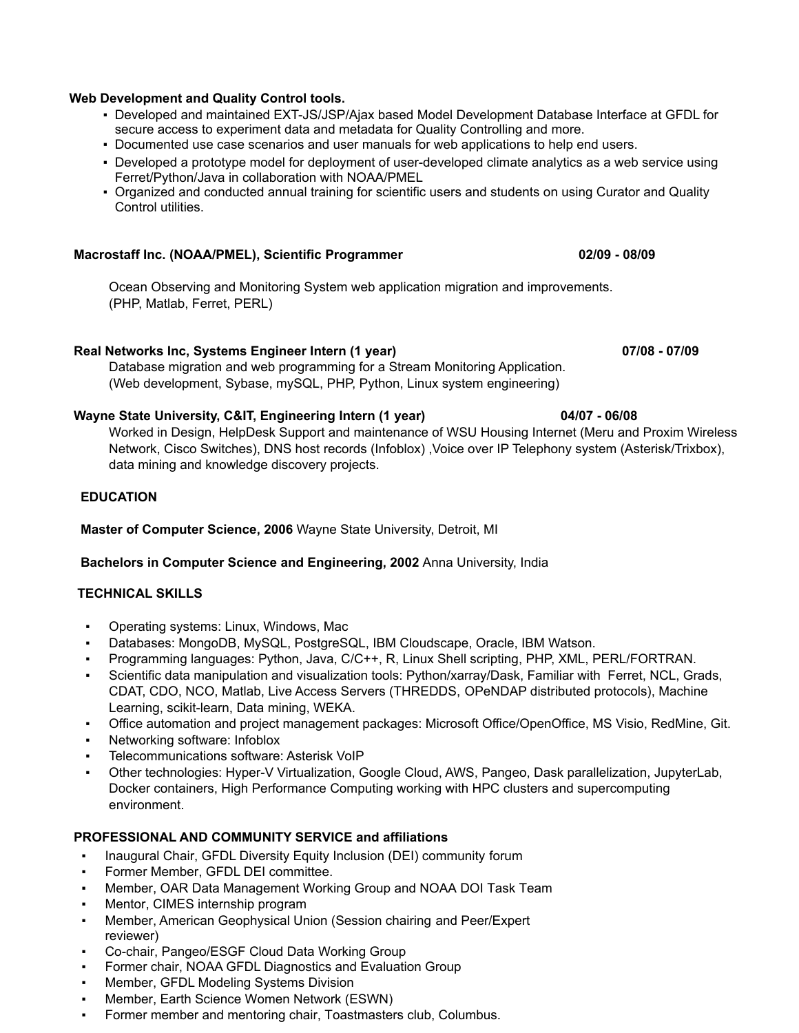# data mining and knowledge discovery projects.

# **Master of Computer Science, 2006** Wayne State University, Detroit, MI

# **Bachelors in Computer Science and Engineering, 2002** Anna University, India

# **TECHNICAL SKILLS**

- Operating systems: Linux, Windows, Mac
- Databases: MongoDB, MySQL, PostgreSQL, IBM Cloudscape, Oracle, IBM Watson.
- Programming languages: Python, Java, C/C++, R, Linux Shell scripting, PHP, XML, PERL/FORTRAN.
- Scientific data manipulation and visualization tools: Python/xarray/Dask, Familiar with Ferret, NCL, Grads, CDAT, CDO, NCO, Matlab, Live Access Servers (THREDDS, OPeNDAP distributed protocols), Machine Learning, scikit-learn, Data mining, WEKA.
- Office automation and project management packages: Microsoft Office/OpenOffice, MS Visio, RedMine, Git.
- Networking software: Infoblox
- Telecommunications software: Asterisk VoIP
- Other technologies: Hyper-V Virtualization, Google Cloud, AWS, Pangeo, Dask parallelization, JupyterLab, Docker containers, High Performance Computing working with HPC clusters and supercomputing environment.

# **PROFESSIONAL AND COMMUNITY SERVICE and affiliations**

- Inaugural Chair, GFDL Diversity Equity Inclusion (DEI) community forum
- Former Member, GFDL DEI committee.
- Member, OAR Data Management Working Group and NOAA DOI Task Team
- Mentor, CIMES internship program
- Member, American Geophysical Union (Session chairing and Peer/Expert reviewer)
- Co-chair, Pangeo/ESGF Cloud Data Working Group
- Former chair, NOAA GFDL Diagnostics and Evaluation Group
- Member, GFDL Modeling Systems Division
- Member, Earth Science Women Network (ESWN)
- Former member and mentoring chair, Toastmasters club, Columbus.

# **Web Development and Quality Control tools.**

- Developed and maintained EXT-JS/JSP/Ajax based Model Development Database Interface at GFDL for secure access to experiment data and metadata for Quality Controlling and more.
- Documented use case scenarios and user manuals for web applications to help end users.
- Developed a prototype model for deployment of user-developed climate analytics as a web service using Ferret/Python/Java in collaboration with NOAA/PMEL
- Organized and conducted annual training for scientific users and students on using Curator and Quality Control utilities.

# **Macrostaff Inc. (NOAA/PMEL), Scientific Programmer 02/09 - 08/09**

Ocean Observing and Monitoring System web application migration and improvements. (PHP, Matlab, Ferret, PERL)

# **Real Networks Inc, Systems Engineer Intern (1 year) 07/08 - 07/09**

Database migration and web programming for a Stream Monitoring Application. (Web development, Sybase, mySQL, PHP, Python, Linux system engineering)

# **Wayne State University, C&IT, Engineering Intern (1 year) 04/07 - 06/08**

Worked in Design, HelpDesk Support and maintenance of WSU Housing Internet (Meru and Proxim Wireless Network, Cisco Switches), DNS host records (Infoblox) ,Voice over IP Telephony system (Asterisk/Trixbox),

## **EDUCATION**